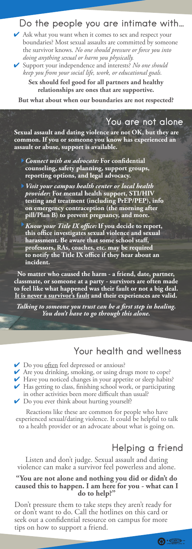### Do the people you are intimate with…

✔ Ask what you want when it comes to sex and respect your boundaries? Most sexual assaults are committed by someone the survivor knows. *No one should pressure or force you into doing anything sexual or harm you physically.*

✔ Support your independence and interests? *No one should keep you from your social life, work, or educational goals.* 

**Sex should feel good for all partners and healthy relationships are ones that are supportive.** 

**But what about when our boundaries are not respected?** 

### You are not alone

**Sexual assault and dating violence are not OK, but they are common. If you or someone you know has experienced an assault or abuse, support is available.**

*Connect with an advocate:* **For confidential counseling, safety planning, support groups, reporting options, and legal advocacy.** 

*Visit your campus health center or local health provider***: For mental health support, STI/HIV testing and treatment (including PrEP/PEP), info on emergency contraception (the morning after pill/Plan B) to prevent pregnancy, and more.**

*Know your Title IX office:* **If you decide to report, this office investigates sexual violence and sexual harassment. Be aware that some school staff, professors, RAs, coaches, etc. may be required to notify the Title IX office if they hear about an incident.** 

**No matter who caused the harm - a friend, date, partner, classmate, or someone at a party - survivors are often made to feel like what happened was their fault or not a big deal. It is never a survivor's fault and their experiences are valid.** 

*Talking to someone you trust can be a first step in healing. You don't have to go through this alone.*

### Your health and wellness

◆ Do you <u>often</u> feel depressed or anxious?

✔ Are you drinking, smoking, or using drugs more to cope?

✔ Have you noticed changes in your appetite or sleep habits?

✔ Has getting to class, finishing school work, or participating in other activities been more difficult than usual?

◆ Do you ever think about hurting yourself?

Reactions like these are common for people who have experienced sexual/dating violence. It could be helpful to talk to a health provider or an advocate about what is going on.

# Helping a friend

Listen and don't judge. Sexual assault and dating violence can make a survivor feel powerless and alone.

#### **"You are not alone and nothing you did or didn't do caused this to happen. I am here for you - what can I do to help?"**

Don't pressure them to take steps they aren't ready for or don't want to do. Call the hotlines on this card or seek out a confidential resource on campus for more tips on how to support a friend.